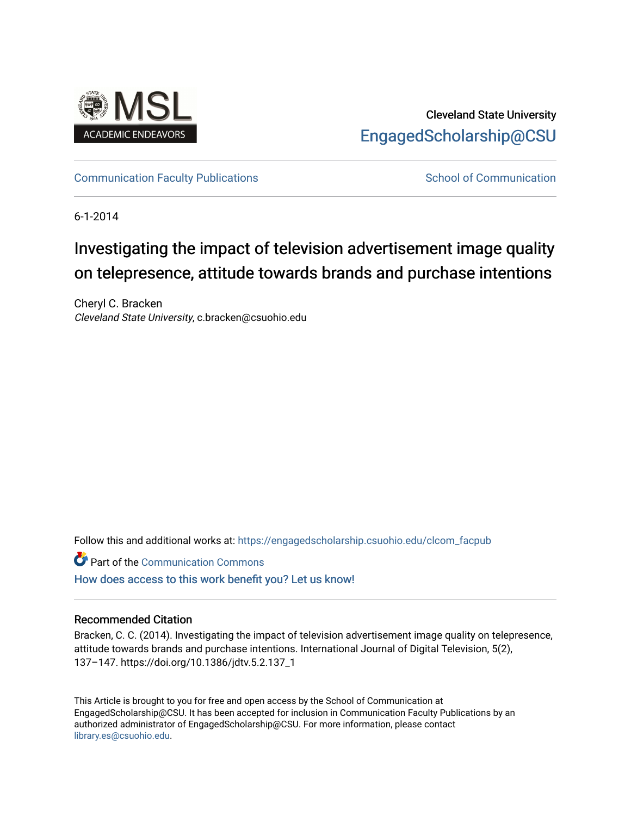

### Cleveland State University [EngagedScholarship@CSU](https://engagedscholarship.csuohio.edu/)

[Communication Faculty Publications](https://engagedscholarship.csuohio.edu/clcom_facpub) [School of Communication](https://engagedscholarship.csuohio.edu/clcom) School of Communication

6-1-2014

## Investigating the impact of television advertisement image quality on telepresence, attitude towards brands and purchase intentions

Cheryl C. Bracken Cleveland State University, c.bracken@csuohio.edu

Follow this and additional works at: [https://engagedscholarship.csuohio.edu/clcom\\_facpub](https://engagedscholarship.csuohio.edu/clcom_facpub?utm_source=engagedscholarship.csuohio.edu%2Fclcom_facpub%2F41&utm_medium=PDF&utm_campaign=PDFCoverPages) 

Part of the [Communication Commons](http://network.bepress.com/hgg/discipline/325?utm_source=engagedscholarship.csuohio.edu%2Fclcom_facpub%2F41&utm_medium=PDF&utm_campaign=PDFCoverPages)  [How does access to this work benefit you? Let us know!](http://library.csuohio.edu/engaged/)

#### Recommended Citation

Bracken, C. C. (2014). Investigating the impact of television advertisement image quality on telepresence, attitude towards brands and purchase intentions. International Journal of Digital Television, 5(2), 137–147. https://doi.org/10.1386/jdtv.5.2.137\_1

This Article is brought to you for free and open access by the School of Communication at EngagedScholarship@CSU. It has been accepted for inclusion in Communication Faculty Publications by an authorized administrator of EngagedScholarship@CSU. For more information, please contact [library.es@csuohio.edu.](mailto:library.es@csuohio.edu)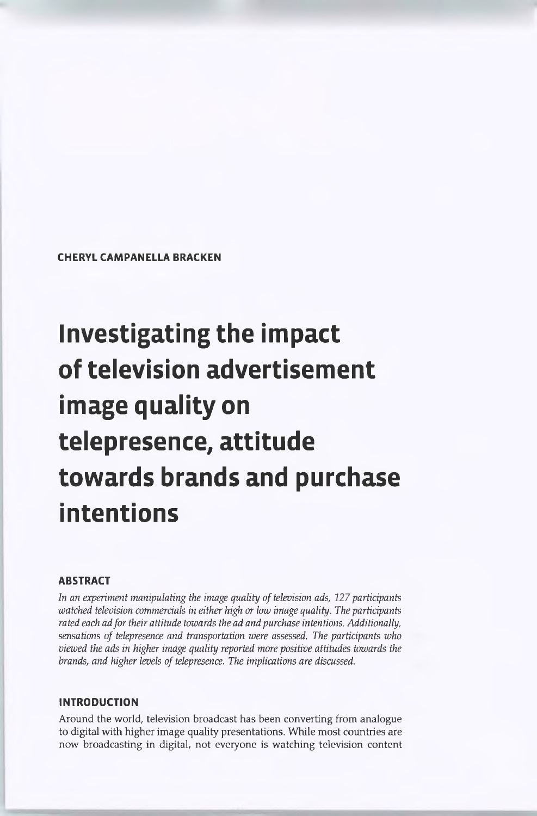**CHERYL CAMPANELLA BRACKEN**

# **Investigating the impact of television advertisement image quality on telepresence, attitude towards brands and purchase intentions**

#### **ABSTRACT**

*In* an experiment manipulating the *image quality* of *television ads,* 127 *participants watched television commercials in either high or low image quality. The participants rated each adfortheir attitude towards the ad and purchase intentions. Additionally, sensations of telepresence and transportation were assessed. The participants who viewed the ads in higher image quality reported more positive attitudes towards the brands, and higher levels oftelepresence. The implications are discussed.*

#### **INTRODUCTION**

Around the world, television broadcast has been converting from analogue to digital with higher image quality presentations. While most countries are now broadcasting in digital, not everyone is watching television content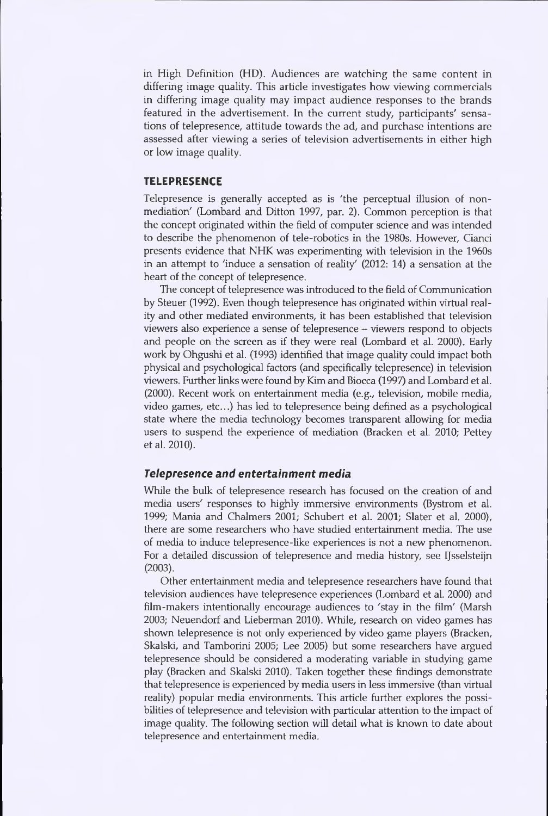in High Definition (HD). Audiences are watching the same content in differing image quality. This article investigates how viewing commercials in differing image quality may impact audience responses to the brands featured in the advertisement. In the current study, participants' sensations of telepresence, attitude towards the ad, and purchase intentions are assessed after viewing a series of television advertisements in either high or low image quality.

#### **TELEPRESENCE**

Telepresence is generally accepted as is 'the perceptual illusion of nonmediation' (Lombard and Ditton 1997, par. 2). Common perception is that the concept originated within the field of computer science and was intended to describe the phenomenon of tele-robotics in the 1980s. However, Cianci presents evidence that NHK was experimenting with television in the 1960s in an attempt to 'induce a sensation of reality' (2012: 14) a sensation at the heart of the concept of telepresence.

The concept of telepresence was introduced to the field of Communication by Steuer (1992). Even though telepresence has originated within virtual reality and other mediated environments, it has been established that television viewers also experience a sense of telepresence - viewers respond to objects and people on the screen as if they were real (Lombard et al. 2000). Early work by Ohgushi et al. (1993) identified that image quality could impact both physical and psychological factors (and specifically telepresence) in television viewers. Further links were found by Kim and Biocca (1997) and Lombard et al. (2000). Recent work on entertainment media (e.g., television, mobile media, video games, etc...) has led to telepresence being defined as a psychological state where the media technology becomes transparent allowing for media users to suspend the experience of mediation (Bracken et al. 2010; Pettey et al. 2010).

#### *Telepresence and entertainment media*

While the bulk of telepresence research has focused on the creation of and media users' responses to highly immersive environments (Bystrom et al. 1999; Mania and Chalmers 2001; Schubert et al. 2001; Slater et al. 2000), there are some researchers who have studied entertainment media. The use of media to induce telepresence-like experiences is not a new phenomenon. For a detailed discussion of telepresence and media history, see IJsselsteijn (2003).

Other entertainment media and telepresence researchers have found that television audiences have telepresence experiences (Lombard et al. 2000) and film-makers intentionally encourage audiences to 'stay in the film' (Marsh 2003; Neuendorf and Lieberman 2010). While, research on video games has shown telepresence is not only experienced by video game players (Bracken, Skalski, and Tamborini 2005; Lee 2005) but some researchers have argued telepresence should be considered a moderating variable in studying game play (Bracken and Skalski 2010). Taken together these findings demonstrate that telepresence is experienced by media users in less immersive (than virtual reality) popular media environments. This article further explores the possibilities of telepresence and television with particular attention to the impact of image quality. The following section will detail what is known to date about telepresence and entertainment media.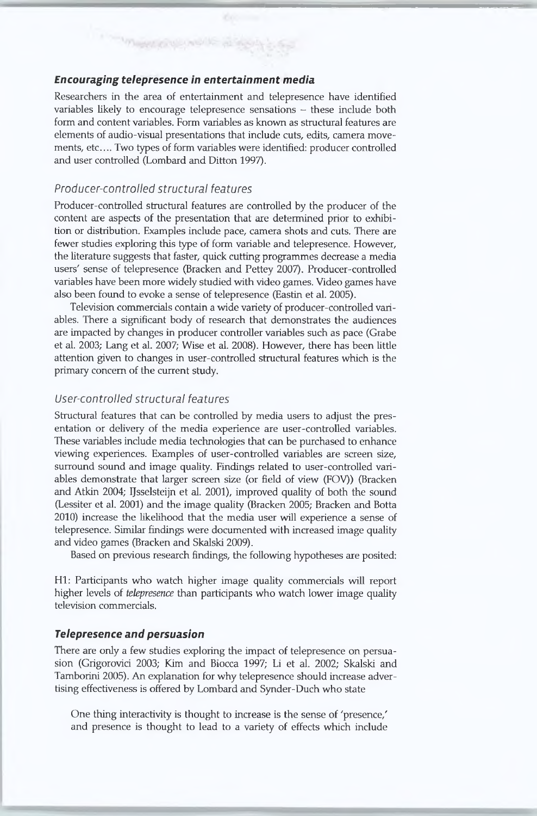#### *Encouraging telepresence in entertainment media*

Researchers in the area of entertainment and telepresence have identified variables likely to encourage telepresence sensations  $-$  these include both form and content variables. Form variables as known as structural features are elements of audio-visual presentations that include cuts, edits, camera movements, etc.... Two types of form variables were identified: producer controlled and user controlled (Lombard and Ditton 1997).

#### *Producer-controlled structural features*

**Sylvenica** 

Producer-controlled structural features are controlled by the producer of the content are aspects of the presentation that are determined prior to exhibition or distribution. Examples include pace, camera shots and cuts. There are fewer studies exploring this type of form variable and telepresence. However, the literature suggests that faster, quick cutting programmes decrease a media users' sense of telepresence (Bracken and Pettey 2007). Producer-controlled variables have been more widely studied with video games. Video games have also been found to evoke a sense of telepresence (Eastin et al. 2005).

Television commercials contain a wide variety of producer-controlled variables. There a significant body of research that demonstrates the audiences are impacted by changes in producer controller variables such as pace (Grabe et al. 2003; Lang et al. 2007; Wise et al. 2008). However, there has been little attention given to changes in user-controlled structural features which is the primary concern of the current study.

#### *User-controlled structural features*

Structural features that can be controlled by media users to adjust the presentation or delivery of the media experience are user-controlled variables. These variables include media technologies that can be purchased to enhance viewing experiences. Examples of user-controlled variables are screen size, surround sound and image quality. Findings related to user-controlled variables demonstrate that larger screen size (or field of view (FOV)) (Bracken and Atkin 2004; IJsselsteijn et al. 2001), improved quality of both the sound (Lessiter et al. 2001) and the image quality (Bracken 2005; Bracken and Botta 2010) increase the likelihood that the media user will experience a sense of telepresence. Similar findings were documented with increased image quality and video games (Bracken and Skalski 2009).

Based on previous research findings, the following hypotheses are posited:

Hl: Participants who watch higher image quality commercials will report higher levels of *telepresence* than participants who watch lower image quality television commercials.

#### *Telepresence and persuasion*

There are only a few studies exploring the impact of telepresence on persuasion (Grigorovici 2003; Kim and Biocca 1997; Li et al. 2002; Skalski and Tamborini 2005). An explanation for why telepresence should increase advertising effectiveness is offered by Lombard and Synder-Duch who state

One thing interactivity is thought to increase is the sense of 'presence/ and presence is thought to lead to a variety of effects which include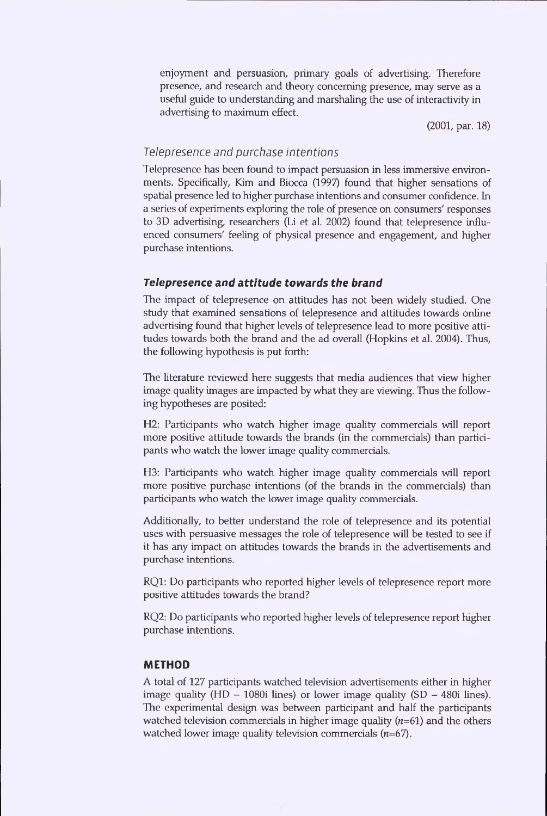enjoyment and persuasion, primary goals of advertising. Therefore presence, and research and theory concerning presence, may serve as a useful guide to understanding and marshaling the use of interactivity in advertising to maximum effect.

(2001, par. 18)

#### *Telepresence and purchase intentions*

Telepresence has been found to impact persuasion in less immersive environments. Specifically, Kim and Biocca (1997) found that higher sensations of spatial presence led to higher purchase intentions and consumer confidence. In a series of experiments exploring the role of presence on consumers' responses to 3D advertising, researchers (Li et al. 2002) found that telepresence influenced consumers' feeling of physical presence and engagement, and higher purchase intentions.

#### *Telepresence and attitude towards the brand*

The impact of telepresence on attitudes has not been widely studied. One study that examined sensations of telepresence and attitudes towards online advertising found that higher levels of telepresence lead to more positive attitudes towards both the brand and the ad overall (Hopkins et al. 2004). Thus, the following hypothesis is put forth:

The literature reviewed here suggests that media audiences that view higher image quality images are impacted by what they are viewing. Thus the following hypotheses are posited:

H2: Participants who watch higher image quality commercials will report more positive attitude towards the brands (in the commercials) than participants who watch the lower image quality commercials.

H3: Participants who watch higher image quality commercials will report more positive purchase intentions (of the brands in the commercials) than participants who watch the lower image quality commercials.

Additionally, to better understand the role of telepresence and its potential uses with persuasive messages the role of telepresence will be tested to see if it has any impact on attitudes towards the brands in the advertisements and purchase intentions.

RQ1: Do participants who reported higher levels of telepresence report more positive attitudes towards the brand?

RQ2: Do participants who reported higher levels of telepresence report higher purchase intentions.

#### **METHOD**

A total of 127 participants watched television advertisements either in higher image quality (HD  $-$  1080i lines) or lower image quality (SD  $-$  480i lines). The experimental design was between participant and half the participants watched television commercials in higher image quality  $(n=61)$  and the others watched lower image quality television commercials (*n*=67).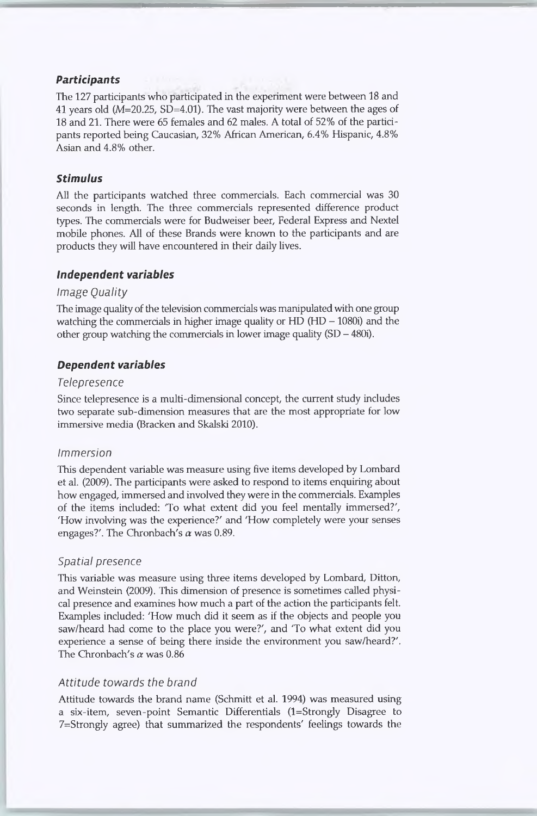#### *Participants*

The 127 participants who participated in the experiment were between 18 and 41 years old (M=20.25, SD=4.01). The vast majority were between the ages of 18 and 21. There were 65 females and 62 males. A total of 52% of the participants reported being Caucasian, 32% African American, 6.4% Hispanic, 4.8% Asian and 4.8% other.

#### *Stimulus*

All the participants watched three commercials. Each commercial was 30 seconds in length. The three commercials represented difference product types. The commercials were for Budweiser beer, Federal Express and Nextel mobile phones. All of these Brands were known to the participants and are products they will have encountered in their daily lives.

#### *Independent variables*

#### *Image Quality*

The image quality of the television commercials was manipulated with one group watching the commercials in higher image quality or  $HD(HD - 1080i)$  and the other group watching the commercials in lower image quality (SD - 480i).

#### *Dependent variables*

#### *Telepresence*

Since telepresence is a multi-dimensional concept, the current study includes two separate sub-dimension measures that are the most appropriate for low immersive media (Bracken and Skalski 2010).

#### *Immersion*

This dependent variable was measure using five items developed by Lombard et al. (2009). The participants were asked to respond to items enquiring about how engaged, immersed and involved they were in the commercials. Examples of the items included: 'To what extent did you feel mentally immersed?', 'How involving was the experience?' and 'How completely were your senses engages?'. The Chronbach's *a* was 0.89.

#### *Spatial presence*

This variable was measure using three items developed by Lombard, Ditton, and Weinstein (2009). This dimension of presence is sometimes called physical presence and examines how much a part of the action the participants felt. Examples included: 'How much did it seem as if the objects and people you saw/heard had come to the place you were?', and 'To what extent did you experience a sense of being there inside the environment you saw/heard?'. The Chronbach's *a* was 0.86

#### *Attitude towards the brand*

Attitude towards the brand name (Schmitt et al. 1994) was measured using a six-item, seven-point Semantic Differentials (l=Strongly Disagree to 7=Strongly agree) that summarized the respondents' feelings towards the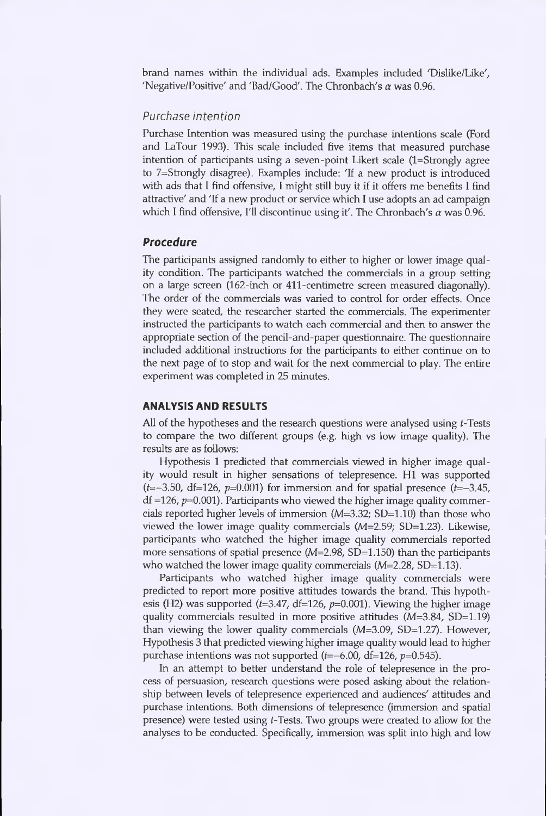brand names within the individual ads. Examples included 'Dislike/Like', 'Negative/Positive' and 'Bad/Good'. The Chronbach's  $\alpha$  was 0.96.

#### *Purchase intention*

Purchase Intention was measured using the purchase intentions scale (Ford and LaTour 1993). This scale included five items that measured purchase intention of participants using a seven-point Likert scale (1=Strongly agree to 7=Strongly disagree). Examples include: 'If a new product is introduced with ads that I find offensive, I might still buy it if it offers me benefits I find attractive' and 'If a new product or service which I use adopts an ad campaign which I find offensive, I'll discontinue using it'. The Chronbach's  $\alpha$  was 0.96.

#### *Procedure*

The participants assigned randomly to either to higher or lower image quality condition. The participants watched the commercials in a group setting on a large screen (162-inch or 411-centimetre screen measured diagonally). The order of the commercials was varied to control for order effects. Once they were seated, the researcher started the commercials. The experimenter instructed the participants to watch each commercial and then to answer the appropriate section of the pencil-and-paper questionnaire. The questionnaire included additional instructions for the participants to either continue on to the next page of to stop and wait for the next commercial to play. The entire experiment was completed in 25 minutes.

#### **ANALYSIS AND RESULTS**

All of the hypotheses and the research questions were analysed using t-Tests to compare the two different groups (e.g. high vs low image quality). The results are as follows:

Hypothesis 1 predicted that commercials viewed in higher image quality would result in higher sensations of telepresence. Hl was supported  $(t=-3.50, df=126, p=0.001)$  for immersion and for spatial presence  $(t=-3.45,$  $df = 126$ ,  $p=0.001$ ). Participants who viewed the higher image quality commercials reported higher levels of immersion (M=3.32; SD=1.10) than those who viewed the lower image quality commercials (M=2.59; SD=1.23). Likewise, participants who watched the higher image quality commercials reported more sensations of spatial presence  $(M=2.98, SD=1.150)$  than the participants who watched the lower image quality commercials ( $M=2.28$ , SD=1.13).

Participants who watched higher image quality commercials were predicted to report more positive attitudes towards the brand. This hypothesis (H2) was supported (*t*=3.47, df=126, p=0.001). Viewing the higher image quality commercials resulted in more positive attitudes (M=3.84, SD=1.19) than viewing the lower quality commercials (M=3.09, SD=1.27). However, Hypothesis 3 that predicted viewing higher image quality would lead to higher purchase intentions was not supported (*t*=-6.00, df=126, p=0.545).

In an attempt to better understand the role of telepresence in the process of persuasion, research questions were posed asking about the relationship between levels of telepresence experienced and audiences' attitudes and purchase intentions. Both dimensions of telepresence (immersion and spatial presence) were tested using *t*-Tests. Two groups were created to allow for the analyses to be conducted. Specifically, immersion was split into high and low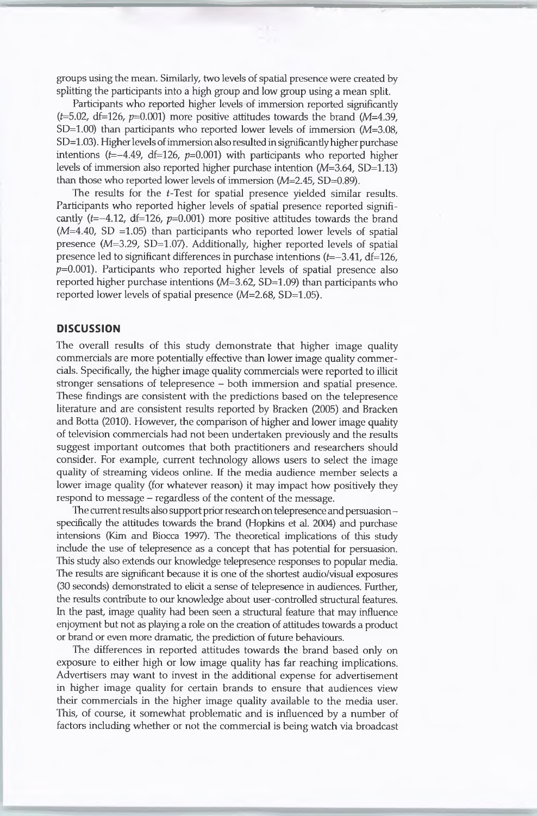groups using the mean. Similarly, two levels of spatial presence were created by splitting the participants into a high group and low group using a mean split.

Participants who reported higher levels of immersion reported significantly  $(t=5.02, df=126, p=0.001)$  more positive attitudes towards the brand  $(M=4.39,$ SD=1.00) than participants who reported lower levels of immersion (M=3.08, SD=1.03). Higher levels of immersion also resulted in significantly higher purchase intentions  $(t=-4.49, df=126, p=0.001)$  with participants who reported higher levels of immersion also reported higher purchase intention (M=3.64, SD=1.13) than those who reported lower levels of immersion (M=2.45, SD=0.89).

The results for the *t*-Test for spatial presence yielded similar results. Participants who reported higher levels of spatial presence reported significantly ( $t=-4.12$ ,  $df=126$ ,  $p=0.001$ ) more positive attitudes towards the brand  $(M=4.40, SD = 1.05)$  than participants who reported lower levels of spatial presence (M=3.29, SD=1.07). Additionally, higher reported levels of spatial presence led to significant differences in purchase intentions (*t*=-3.41, df=126,  $p=0.001$ ). Participants who reported higher levels of spatial presence also reported higher purchase intentions  $(M=3.62, SD=1.09)$  than participants who reported lower levels of spatial presence  $(M=2.68, SD=1.05)$ .

#### **DISCUSSION**

The overall results of this study demonstrate that higher image quality commercials are more potentially effective than lower image quality commercials. Specifically, the higher image quality commercials were reported to illicit stronger sensations of telepresence - both immersion and spatial presence. These findings are consistent with the predictions based on the telepresence literature and are consistent results reported by Bracken (2005) and Bracken and Botta (2010). However, the comparison of higher and lower image quality of television commercials had not been undertaken previously and the results suggest important outcomes that both practitioners and researchers should consider. For example, current technology allows users to select the image quality of streaming videos online. If the media audience member selects a lower image quality (for whatever reason) it may impact how positively they respond to message – regardless of the content of the message.

The current results also support prior research on telepresence and persuasionspecifically the attitudes towards the brand (Hopkins et al. 2004) and purchase intensions (Kim and Biocca 1997). The theoretical implications of this study include the use of telepresence as a concept that has potential for persuasion. This study also extends our knowledge telepresence responses to popular media. The results are significant because it is one of the shortest audio/visual exposures (30 seconds) demonstrated to elicit a sense of telepresence in audiences. Further, the results contribute to our knowledge about user-controlled structural features. In the past, image quality had been seen a structural feature that may influence enjoyment but not as playing a role on the creation of attitudes towards a product or brand or even more dramatic, the prediction of future behaviours.

The differences in reported attitudes towards the brand based only on exposure to either high or low image quality has far reaching implications. Advertisers may want to invest in the additional expense for advertisement in higher image quality for certain brands to ensure that audiences view their commercials in the higher image quality available to the media user. This, of course, it somewhat problematic and is influenced by a number of factors including whether or not the commercial is being watch via broadcast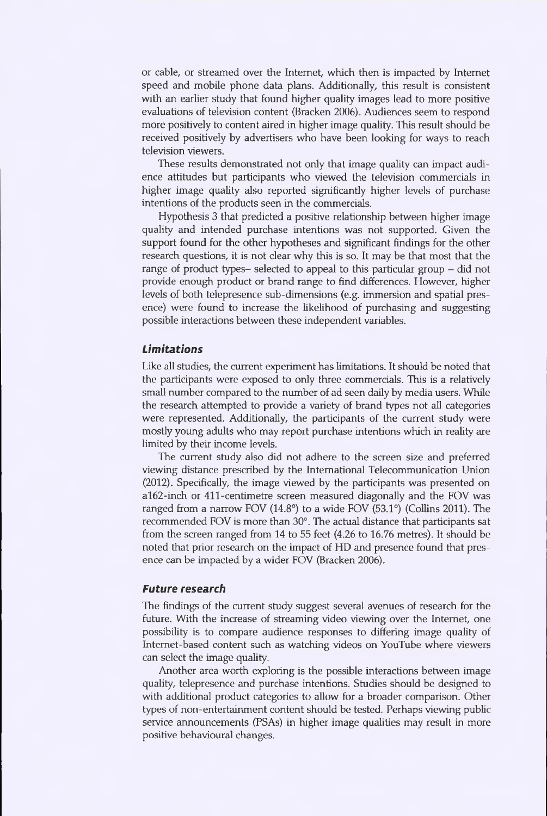or cable, or streamed over the Internet, which then is impacted by Internet speed and mobile phone data plans. Additionally, this result is consistent with an earlier study that found higher quality images lead to more positive evaluations of television content (Bracken 2006). Audiences seem to respond more positively to content aired in higher image quality. This result should be received positively by advertisers who have been looking for ways to reach television viewers.

These results demonstrated not only that image quality can impact audience attitudes but participants who viewed the television commercials in higher image quality also reported significantly higher levels of purchase intentions of the products seen in the commercials.

Hypothesis 3 that predicted a positive relationship between higher image quality and intended purchase intentions was not supported. Given the support found for the other hypotheses and significant findings for the other research questions, it is not clear why this is so. It may be that most that the range of product types- selected to appeal to this particular group  $-$  did not provide enough product or brand range to find differences. However, higher levels of both telepresence sub-dimensions (e.g. immersion and spatial presence) were found to increase the likelihood of purchasing and suggesting possible interactions between these independent variables.

#### *Limitations*

Like all studies, the current experiment has limitations. It should be noted that the participants were exposed to only three commercials. This is a relatively small number compared to the number of ad seen daily by media users. While the research attempted to provide a variety of brand types not all categories were represented. Additionally, the participants of the current study were mostly young adults who may report purchase intentions which in reality are limited by their income levels.

The current study also did not adhere to the screen size and preferred viewing distance prescribed by the International Telecommunication Union (2012). Specifically, the image viewed by the participants was presented on al62-inch or 411-centimetre screen measured diagonally and the FOV was ranged from a narrow FOV (14.8°) to a wide FOV (53.1°) (Collins 2011). The recommended FOV is more than 30°. The actual distance that participants sat from the screen ranged from 14 to 55 feet (4.26 to 16.76 metres). It should be noted that prior research on the impact of HD and presence found that presence can be impacted by a wider FOV (Bracken 2006).

#### *Future research*

The findings of the current study suggest several avenues of research for the future. With the increase of streaming video viewing over the Internet, one possibility is to compare audience responses to differing image quality of Internet-based content such as watching videos on YouTube where viewers can select the image quality.

Another area worth exploring is the possible interactions between image quality, telepresence and purchase intentions. Studies should be designed to with additional product categories to allow for a broader comparison. Other types of non-entertainment content should be tested. Perhaps viewing public service announcements (PSAs) in higher image qualities may result in more positive behavioural changes.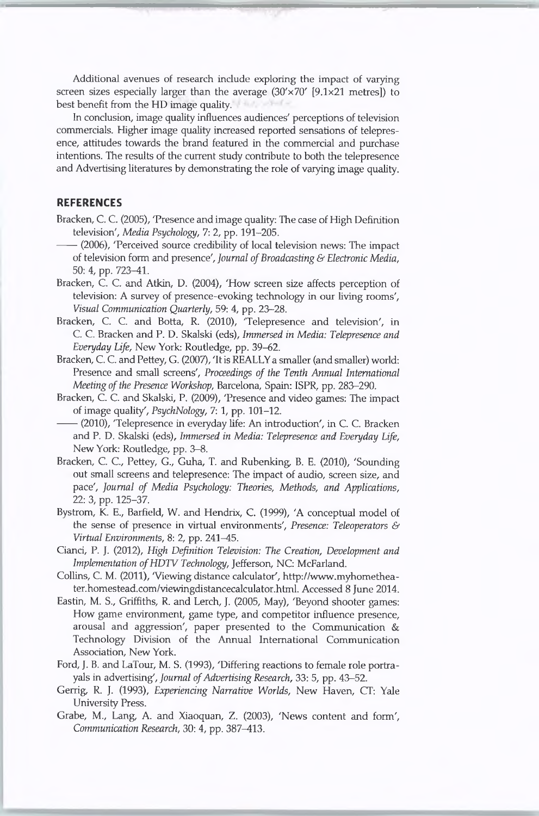Additional avenues of research include exploring the impact of varying screen sizes especially larger than the average  $(30'\times70'$  [9.1 $\times21$  metres]) to best benefit from the HD image quality.

In conclusion, image quality influences audiences' perceptions of television commercials. Higher image quality increased reported sensations of telepresence, attitudes towards the brand featured in the commercial and purchase intentions. The results of the current study contribute to both the telepresence and Advertising literatures by demonstrating the role of varying image quality.

#### **REFERENCES**

- Bracken, C. C. (2005), 'Presence and image quality: The case of High Definition television', *Media Psychology,* 7: 2, pp. 191-205.
- (2006), 'Perceived source credibility of local television news: The impact of television form and presence', *Journal ofBroadcasting & Electronic Media,* 50: 4, pp. 723-41.
- Bracken, C. C. and Atkin, D. (2004), 'How screen size affects perception of television: A survey of presence-evoking technology in our living rooms', *Visual Communication Quarterly,* 59: 4, pp. 23-28.
- Bracken, C. C. and Botta, R. (2010), 'Telepresence and television', in C. C. Bracken and P. D. Skalski (eds), *Immersed in Media: Telepresence and Everyday Life,* New York: Routledge, pp. 39-62.
- Bracken, C. C. and Pettey, G. (2007), 'It is REALLYa smaller (and smaller) world: Presence and small screens', *Proceedings of the Tenth Annual International Meeting* of the Presence Workshop, Barcelona, Spain: ISPR, pp. 283-290.
- Bracken, C. C. and Skalski, P. (2009), 'Presence and video games: The impact of image quality', *PsychNology,* 7:1, pp. 101-12.
- (2010), 'Telepresence in everyday life: An introduction', in C. C. Bracken and P. D. Skalski (eds), *Immersed in Media: Telepresence and Everyday Life,* New York: Routledge, pp. 3-8.
- Bracken, C. C., Pettey, G., Guha, T. and Rubenking, B. E. (2010), 'Sounding out small screens and telepresence: The impact of audio, screen size, and pace', *Journal of Media Psychology: Theories, Methods, and Applications, 22:* 3, pp. 125-37.
- Bystrom, K. E., Barfield, W. and Hendrix, C. (1999), 'A conceptual model of the sense of presence in virtual environments', *Presence: Teleoperators & Virtual Environments,* 8: 2, pp. 241-45.
- Cianci, P. J. (2012), *High Definition Television: The Creation, Development and Implementation ofHDTV Technology,* Jefferson, NC: McFarland.
- Collins, C. M. (2011), 'Viewing distance calculator', [http://www.myhomethea](http://www.myhomethea-ter.homestead.com/viewingdistancecalculator.html)[ter.homestead.com/viewingdistancecalculator.html](http://www.myhomethea-ter.homestead.com/viewingdistancecalculator.html). Accessed 8 June 2014.
- Eastin, M. S., Griffiths, R. and Lerch, J. (2005, May), 'Beyond shooter games: How game environment, game type, and competitor influence presence, arousal and aggression', paper presented to the Communication & Technology Division of the Annual International Communication Association, New York.
- Ford, J. B. and LaTour, M. S. (1993), 'Differing reactions to female role portrayals in advertising', *Journal of Advertising Research*, 33: 5, pp. 43-52.
- Gerrig, R. J. (1993), *Experiencing Narrative Worlds,* New Haven, CT: Yale University Press.
- Grabe, M., Lang, A. and Xiaoquan, Z. (2003), 'News content and form', *Communication Research,* 30: 4, pp. 387-413.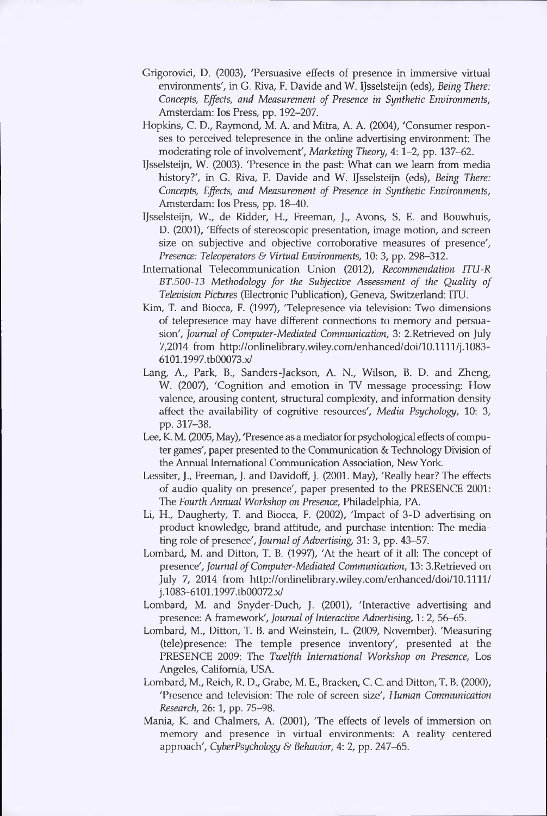- Grigorovici, D. (2003), 'Persuasive effects of presence in immersive virtual environments', in G. Riva, F. Davide and W. IJsselsteijn (eds), *Being There: Concepts, Effects, and Measurement of Presence in Synthetic Environments,* Amsterdam: Ios Press, pp. 192-207.
- Hopkins, C. D., Raymond, M. A. and Mitra, A. A. (2004), 'Consumer responses to perceived telepresence in the online advertising environment: The moderating role of involvement', *Marketing Theory,* 4:1-2, pp. 137-62.
- IJsselsteijn, W. (2003). 'Presence in the past: What can we learn from media history?', in G. Riva, F. Davide and W. IJsselsteijn (eds), *Being There: Concepts, Effects, and Measurement of Presence in Synthetic Environments,* Amsterdam: Ios Press, pp. 18-40.
- IJsselsteijn, W., de Ridder, H., Freeman, J., Avons, S. E. and Bouwhuis, D. (2001), 'Effects of stereoscopic presentation, image motion, and screen size on subjective and objective corroborative measures of presence', *Presence: Teleoperators & Virtual Environments,* 10: 3, pp. 298-312.
- International Telecommunication Union (2012), *Recommendation ITU-R BT.500-13 Methodology for the Subjective Assessment of the Quality of Television Pictures* (Electronic Publication), Geneva, Switzerland: ITU.
- Kim, T. and Biocca, F. (1997), 'Telepresence via television: Two dimensions of telepresence may have different connections to memory and persuasion', *Journal of Computer-Mediated Communication,* 3: 2.Retrieved on July 7,2014 from http://onlinelibrary.wiley.com/enhanced/doi/10.1111/j.1083-[6101.1997.tb00073.x/](http://onlinelibrary.wiley.eom/enhanced/doi/10.llll/j.1083-6101.1997.tb00073.x/)
- Lang, A., Park, B., Sanders-Jackson, A. N., Wilson, B. D. and Zheng, W. (2007), 'Cognition and emotion in TV message processing: How valence, arousing content, structural complexity, and information density affect the availability of cognitive resources', *Media Psychology,* 10: 3, pp. 317-38.
- Lee, K. M. (2005, May), 'Presence as a mediator for psychological effects of computer games', paper presented to the Communication & Technology Division of the Annual International Communication Association, New York.
- Lessiter, J., Freeman, J. and Davidoff, J. (2001. May), 'Really hear? The effects of audio quality on presence', paper presented to the PRESENCE 2001: The *Fourth Annual Workshop on Presence,* Philadelphia, PA.
- Li, H., Daugherty, T. and Biocca, F. (2002), 'Impact of 3-D advertising on product knowledge, brand attitude, and purchase intention: The mediating role of presence', *Journal of Advertising*, 31: 3, pp. 43-57.
- Lombard, M. and Ditton, T. B. (1997), 'At the heart of it all: The concept of presence', *Journal ofComputer-Mediated Communication,* 13: 3.Retrieved on July 7, 2014 from http://onlinelibrary.wiley.com/enhanced/doi/10.1111/ j.1083-6101.1997.tb00072.x/
- Lombard, M. and Snyder-Duch, J. (2001), 'Interactive advertising and presence: A framework', *Journal of Interactive Advertising*, 1: 2, 56–65.
- Lombard, M., Ditton, T. B. and Weinstein, L. (2009, November). 'Measuring (tele)presence: The temple presence inventory', presented at the PRESENCE 2009: The *Twelfth International Workshop on Presence,* Los Angeles, California, USA.
- Lombard, M., Reich, R. D., Grabe, M. E., Bracken, C. C. and Ditton, T. B. (2000), 'Presence and television: The role of screen size', *Human Communication Research,* 26:1, pp. 75-98.
- Mania, K. and Chalmers, A. (2001), 'The effects of levels of immersion on memory and presence in virtual environments: A reality centered approach', *CyberPsychology & Behavior,* 4: 2, pp. 247-65.